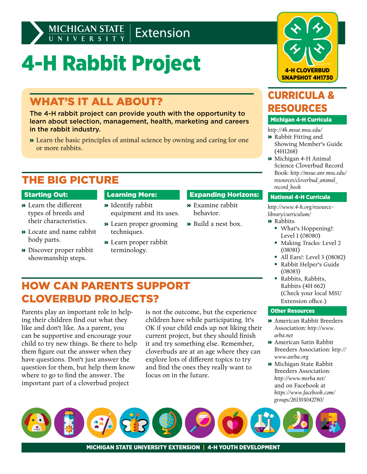# 4-H Rabbit Project

# WHAT'S IT ALL ABOUT?

The 4-H rabbit project can provide youth with the opportunity to learn about selection, management, health, marketing and careers in the rabbit industry.

» Learn the basic principles of animal science by owning and caring for one or more rabbits.

# THE BIG PICTURE

### Starting Out:

- » Learn the different types of breeds and their characteristics.
- » Locate and name rabbit body parts.
- » Discover proper rabbit showmanship steps.

# Learning More:

- » Identify rabbit equipment and its uses.
- » Learn proper grooming techniques.
- » Learn proper rabbit terminology.

HOW CAN PARENTS SUPPORT

CLOVERBUD PROJECTS?

Parents play an important role in helping their children find out what they like and don't like. As a parent, you can be supportive and encourage your child to try new things. Be there to help them figure out the answer when they have questions. Don't just answer the question for them, but help them know where to go to find the answer. The important part of a cloverbud project

### Expanding Horizons:

- » Examine rabbit behavior.
- » Build a nest box.
- What's Hoppening?: Level 1 (08080)
- Making Tracks: Level 2 (08081)
- All Ears!: Level 3 (08082)
- Rabbit Helper's Guide
- Rabbits, Rabbits, Rabbits (4H 662) (Check your local MSU Extension office.)

### Other Resources

- » American Rabbit Breeders Association: *http://www. arba.net*
- » American Satin Rabbit Breeders Association: *[http://](http://www.asrba.org) [www.asrba.org](http://www.asrba.org)*
- » Michigan State Rabbit Breeders Association: *http://www.msrba.net/* and on Facebook at *[https://www.facebook.com/](https://www.facebook.com/groups/261393042780/) [groups/261393042780](https://www.facebook.com/groups/261393042780/)/*

children have while participating. It's OK if your child ends up not liking their current project, but they should finish it and try something else. Remember, cloverbuds are at an age where they can explore lots of different topics to try and find the ones they really want to focus on in the future.

is not the outcome, but the experience

CURRICULA & RESOURCES

4-H CLOVERBUD SNAPSHOT 4H1730

### Michigan 4-H Curricula

*http://4h.msue.msu.edu/* 

- » Rabbit Fitting and Showing Member's Guide (4H1268)
- » Michigan 4-H Animal Science Cloverbud Record Book: *[http://msue.anr.msu.edu/](http://msue.anr.msu.edu/resources/cloverbud_animal_record_book) [resources/cloverbud\\_animal\\_](http://msue.anr.msu.edu/resources/cloverbud_animal_record_book) [record\\_book](http://msue.anr.msu.edu/resources/cloverbud_animal_record_book)*

### National 4-H Curricula

*http://www.4-h.org/resourcelibrary/curriculum/*

# » Rabbits



- 
- (08083)